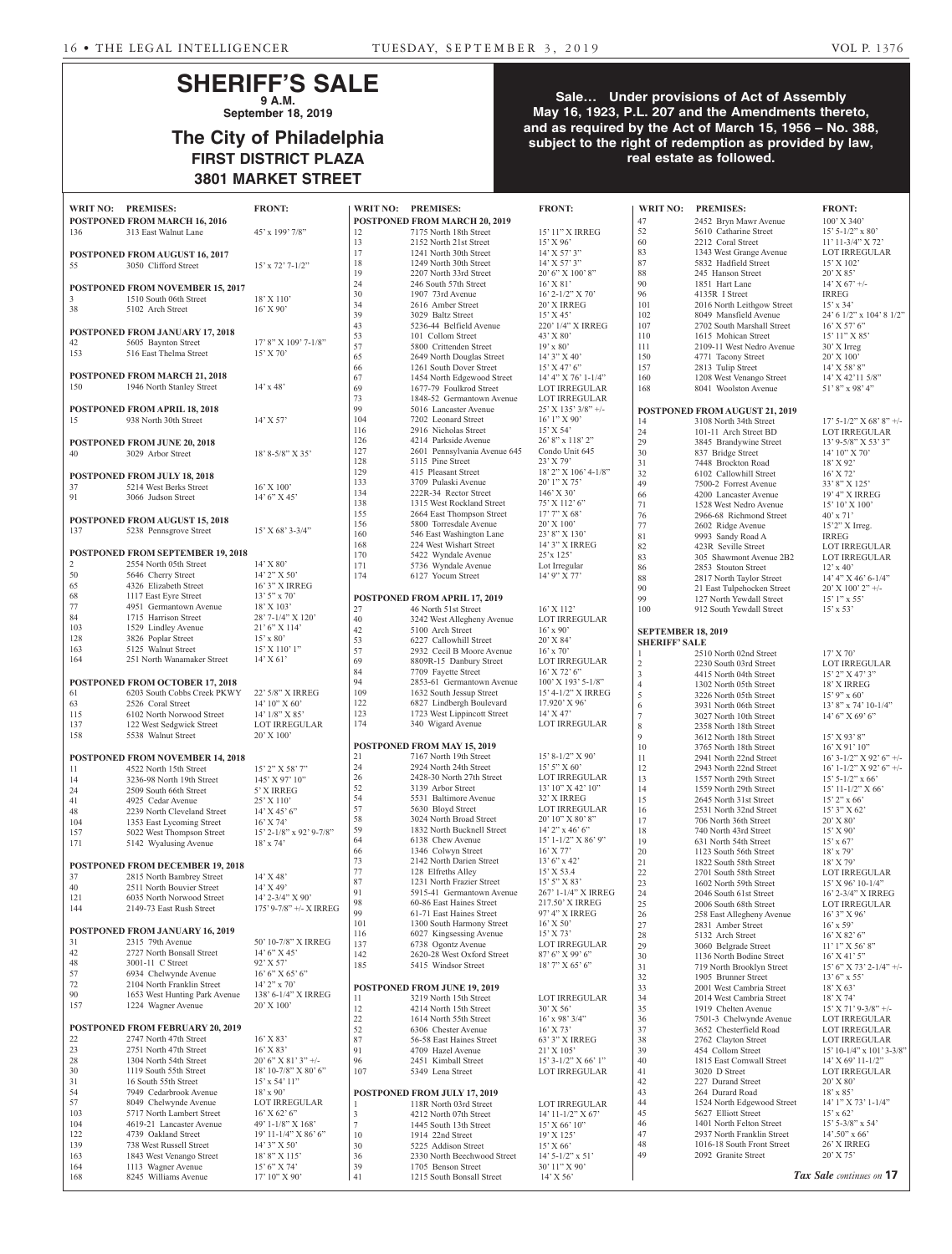# **SHERIFF'S SALE 9 A.M.**

**September 18, 2019**

# **The City of Philadelphia FIRST DISTRICT PLAZA 3801 MARKET STREET**

## **Sale… Under provisions of Act of Assembly May 16, 1923, P.L. 207 and the Amendments thereto, and as required by the Act of March 15, 1956 – No. 388, subject to the right of redemption as provided by law, real estate as followed.**

|                      | WRIT NO: PREMISES:                                                    | <b>FRONT:</b>                           | <b>WR</b>        |
|----------------------|-----------------------------------------------------------------------|-----------------------------------------|------------------|
| 136                  | <b>POSTPONED FROM MARCH 16, 2016</b><br>313 East Walnut Lane          | 45' x 199' 7/8"                         | POS<br>12        |
|                      |                                                                       |                                         | 13               |
| 55                   | POSTPONED FROM AUGUST 16, 2017<br>3050 Clifford Street                | $15'$ x $72'$ $7-1/2''$                 | 17<br>18         |
|                      |                                                                       |                                         | 19               |
|                      | POSTPONED FROM NOVEMBER 15, 2017                                      |                                         | 24               |
| $\overline{3}$       | 1510 South 06th Street                                                | $18'$ X $110'$                          | 30<br>34         |
| 38                   | 5102 Arch Street                                                      | $16'$ X $90'$                           | 39               |
|                      | POSTPONED FROM JANUARY 17, 2018                                       |                                         | 43               |
| 42                   | 5605 Baynton Street                                                   | $17'$ 8" X $109'$ 7- $1/8"$             | 53<br>57         |
| 153                  | 516 East Thelma Street                                                | 15' X 70'                               | 65               |
|                      | <b>POSTPONED FROM MARCH 21, 2018</b>                                  |                                         | 66<br>67         |
| 150                  | 1946 North Stanley Street                                             | $14' \times 48'$                        | 69               |
|                      |                                                                       |                                         | 73               |
| 15                   | <b>POSTPONED FROM APRIL 18, 2018</b><br>938 North 30th Street         | $14'$ X 57'                             | 99<br>104        |
|                      |                                                                       |                                         | 116              |
|                      | <b>POSTPONED FROM JUNE 20, 2018</b>                                   |                                         | 126              |
| 40                   | 3029 Arbor Street                                                     | $18'$ 8-5/8" X 35"                      | 127<br>128       |
|                      | <b>POSTPONED FROM JULY 18, 2018</b>                                   |                                         | 129              |
| 37                   | 5214 West Berks Street                                                | $16'$ X $100'$                          | 133<br>134       |
| 91 — 10              | 3066 Judson Street                                                    | $14'6''$ X 45'                          | 138              |
|                      | <b>POSTPONED FROM AUGUST 15, 2018</b>                                 |                                         | 155              |
| 137                  | 5238 Pennsgrove Street                                                | $15'$ X 68' 3-3/4"                      | 156<br>160       |
|                      |                                                                       |                                         | 168              |
|                      | POSTPONED FROM SEPTEMBER 19, 2018                                     |                                         | 170              |
| $\overline{2}$<br>50 | 2554 North 05th Street<br>5646 Cherry Street<br>4326 Elizabeth Street | 14' X 80'<br>$14'$ 2" X 50'             | 171<br>174       |
| 65                   | 4326 Elizabeth Street                                                 | 16' 3" X IRREG                          |                  |
| 68                   | 1117 East Eyre Street                                                 | $13'5''$ x 70'                          | POS              |
| 77<br>84             | 4951 Germantown Avenue<br>1715 Harrison Street                        | 18' X 103'<br>28' 7-1/4" X 120'         | 27               |
| 103                  | 1529 Lindley Avenue                                                   | $21'6''$ X 114'                         | 40<br>42         |
| 128                  | 3826 Poplar Street                                                    | $15^{\circ}$ x $80^{\circ}$             | 53               |
| 163<br>164           | 5125 Walnut Street<br>251 North Wanamaker Street 14' X 61'            | 15' X 110' 1"                           | 57               |
|                      |                                                                       |                                         | 69<br>84         |
|                      | POSTPONED FROM OCTOBER 17, 2018                                       |                                         | 94               |
| 61                   | 6203 South Cobbs Creek PKWY                                           | 22' 5/8" X IRREG                        | 109              |
| 63<br>115            | 2526 Coral Street<br>6102 North Norwood Street                        | 14' 10'' X 60'<br>$14'$ $1/8''$ X $85'$ | 122<br>123       |
| 137                  | 122 West Sedgwick Street                                              | <b>LOT IRREGULAR</b>                    | 174              |
| 158                  | 5538 Walnut Street                                                    | $20'$ X $100'$                          |                  |
|                      | POSTPONED FROM NOVEMBER 14, 2018                                      |                                         | <b>POS</b><br>21 |
| 11                   | 4522 North 15th Street                                                | 15' 2" X 58' 7"                         | 24               |
| 14                   | 3236-98 North 19th Street                                             | 145' X 97' 10"                          | 26               |
| 24                   | 2509 South 66th Street                                                | 5' X IRREG                              | 52<br>54         |
| 41<br>48             | 4925 Cedar Avenue<br>2239 North Cleveland Street                      | 25' X 110'<br>$14'$ X 45' 6"            | 57               |
| 104                  | 1353 East Lycoming Street                                             | $16'$ X 74'                             | 58               |
| 157                  | 5022 West Thompson Street                                             | 15' 2-1/8" x 92' 9-7/8"                 | 59<br>64         |
| 171                  | 5142 Wyalusing Avenue                                                 | $18'$ x $74'$                           | 66               |
|                      | POSTPONED FROM DECEMBER 19, 2018                                      |                                         | 73               |
| 37                   | 2815 North Bambrey Street                                             | $14'$ X 48'                             | 77<br>87         |
| 40<br>121            | 2511 North Bouvier Street<br>6035 North Norwood Street                | $14'$ X 49'<br>14' 2-3/4" X 90'         | 91               |
| 144                  | 2149-73 East Rush Street                                              | 175' 9-7/8" +/- X IRREG                 | 98<br>99         |
|                      |                                                                       |                                         | 101              |
|                      | POSTPONED FROM JANUARY 16, 2019                                       |                                         | 116              |
| 31<br>42             | 2315 79th Avenue<br>2727 North Bonsall Street                         | 50' 10-7/8" X IRREG<br>$14'6''$ X 45'   | 137              |
| 48                   | 3001-11 C Street                                                      | 92' X 57'                               | 142<br>185       |
| 57                   | 6934 Chelwynde Avenue                                                 | 16' 6'' X 65' 6''                       |                  |
| 72<br>90             | 2104 North Franklin Street<br>1653 West Hunting Park Avenue           | $14'$ 2" x 70"<br>138' 6-1/4" X IRREG   | POS              |
| 157                  | 1224 Wagner Avenue                                                    | 20' X 100'                              | 11<br>12         |
|                      |                                                                       |                                         | 22               |
|                      | <b>POSTPONED FROM FEBRUARY 20, 2019</b>                               |                                         | 52               |
| 22<br>23             | 2747 North 47th Street<br>2751 North 47th Street                      | $16'$ X 83'<br>$16'$ X $83'$            | 87<br>91         |
| 28                   | 1304 North 54th Street                                                | $20'6''$ X 81' 3" +/-                   | 96               |
| 30                   | 1119 South 55th Street                                                | 18' 10-7/8" X 80' 6"                    | 107              |
| 31<br>54             | 16 South 55th Street<br>7949 Cedarbrook Avenue                        | $15'$ x 54' $11''$<br>$18' \times 90'$  |                  |
| 57                   | 8049 Chelwynde Avenue                                                 | <b>LOT IRREGULAR</b>                    | <b>POS</b><br>1  |
| 103                  | 5717 North Lambert Street                                             | $16'$ X 62' 6"                          | 3                |
| 104                  | 4619-21 Lancaster Avenue                                              | 49' 1-1/8" X 168'                       | $\overline{7}$   |
| 122<br>139           | 4739 Oakland Street<br>738 West Russell Street                        | 19' 11-1/4" X 86' 6"<br>$14'3''$ X 50'  | 10<br>30         |
| 163                  | 1843 West Venango Street                                              | 18' 8" X 115'                           | 36               |
| 164                  | 1113 Wagner Avenue                                                    | 15' 6" X 74'                            | 39               |
| 168                  | 8245 Williams Avenue                                                  | 17' 10" X 90'                           | 41               |

|            | POSTPONED FROM MARCH 20, 2019                         |                                      |
|------------|-------------------------------------------------------|--------------------------------------|
| 12         | 7175 North 18th Street                                | 15' 11" X IRREG                      |
| 13         | 2152 North 21st Street                                | $15'$ X 96'                          |
| 17<br>18   | 1241 North 30th Street<br>1249 North 30th Street      | 14' X 57' 3"<br>14' X 57' 3"         |
| 19         | 2207 North 33rd Street                                | 20' 6" X 100' 8"                     |
| 24         | 246 South 57th Street                                 | $16'$ X $81'$                        |
| 30         | 1907 73rd Avenue                                      | 16' 2-1/2" X 70'                     |
| 34         | 2616 Amber Street                                     | 20' X IRREG                          |
| 39         | 3029 Baltz Street                                     | 15' X 45'                            |
| 43         | 5236-44 Belfield Avenue                               | 220' 1/4" X IRREG                    |
| 53         | 101 Collom Street                                     | 43' X 80'                            |
| 57         | 5800 Crittenden Street                                | $19' \times 80'$                     |
| 65         | 2649 North Douglas Street                             | 14'3'' X 40'                         |
| 66         | 1261 South Dover Street                               | 15' X 47' 6''                        |
| 67         | 1454 North Edgewood Street                            | 14' 4" X 76' 1-1/4"                  |
| 69         | 1677-79 Foulkrod Street                               | <b>LOT IRREGULAR</b>                 |
| 73         | 1848-52 Germantown Avenue                             | <b>LOT IRREGULAR</b>                 |
| 99         | 5016 Lancaster Avenue                                 | 25' X 135' 3/8" +/-                  |
| 104        | 7202 Leonard Street                                   | $16'1''$ X 90'                       |
| 116<br>126 | 2916 Nicholas Street<br>4214 Parkside Avenue          | 15' X 54'<br>26' 8" x 118' 2"        |
| 127        | 2601 Pennsylvania Avenue 645                          | Condo Unit 645                       |
| 128        | 5115 Pine Street                                      | 23' X 79'                            |
| 129        | 415 Pleasant Street                                   | 18' 2" X 106' 4-1/8"                 |
| 133        | 3709 Pulaski Avenue                                   | 20' 1" X 75'                         |
| 134        | 222R-34 Rector Street                                 | $146'$ X 30'                         |
| 138        | 1315 West Rockland Street                             | 75' X 112' 6"                        |
| 155        | 2664 East Thompson Street                             | $17^\circ\,7^\circ$ X $68^\circ$     |
| 156        | 5800 Torresdale Avenue                                | 20' X 100'                           |
| 160        | 546 East Washington Lane                              | 23' 8" X 130'                        |
| 168        | 224 West Wishart Street                               | 14' 3" X IRREG                       |
| 170        | 5422 Wyndale Avenue                                   | 25'x 125'                            |
| 171        | 5736 Wyndale Avenue                                   | Lot Irregular                        |
| 174        | 6127 Yocum Street                                     | 14' 9" X 77'                         |
|            |                                                       |                                      |
| 27         | POSTPONED FROM APRIL 17, 2019<br>46 North 51st Street | 16' X 112'                           |
| 40         | 3242 West Allegheny Avenue                            | <b>LOT IRREGULAR</b>                 |
| 42         | 5100 Arch Street                                      | $16'$ x 90'                          |
| 53         | 6227 Callowhill Street                                | 20' X 84'                            |
| 57         | 2932 Cecil B Moore Avenue                             | $16'$ x $70'$                        |
| 69         | 8809R-15 Danbury Street                               | LOT IRREGULAR                        |
| 84         | 7709 Fayette Street                                   | 16' X 72' 6"                         |
| 94         | 2853-61 Germantown Avenue                             | 100' X 193' 5-1/8"                   |
| 109        | 1632 South Jessup Street                              | 15' 4-1/2" X IRREG                   |
| 122        | 6827 Lindbergh Boulevard                              | 17.920' X 96'                        |
| 123        | 1723 West Lippincott Street                           | $14'$ X 47'                          |
| 174        | 340 Wigard Avenue                                     | <b>LOT IRREGULAR</b>                 |
|            | POSTPONED FROM MAY 15, 2019                           |                                      |
| 21         | 7167 North 19th Street                                | 15' 8-1/2" X 90'                     |
| 24         | 2924 North 24th Street                                | 15' 5" X 60'                         |
| 26         | 2428-30 North 27th Street                             | <b>LOT IRREGULAR</b>                 |
| 52         | 3139 Arbor Street                                     | 13' 10" X 42' 10"                    |
| 54         | 5531 Baltimore Avenue                                 | 32' X IRREG                          |
| 57         | 5630 Bloyd Street                                     | <b>LOT IRREGULAR</b>                 |
| 58         | 3024 North Broad Street                               | 20' 10" X 80' 8"                     |
| 59         | 1832 North Bucknell Street                            | $14'$ 2" x 46' 6"                    |
| 64         | 6138 Chew Avenue                                      | 15' 1-1/2" X 86' 9"                  |
| 66<br>73   | 1346 Colwyn Street<br>2142 North Darien Street        | $16'$ X 77'                          |
| 77         | 128 Elfreths Alley                                    | $13'6''$ x 42'<br>15' X 53.4         |
| 87         | 1231 North Frazier Street                             | $15'5''$ X 83'                       |
| 91         | 5915-41 Germantown Avenue                             | 267' 1-1/4" X IRREG                  |
| 98         | 60-86 East Haines Street                              | 217.50' X IRREG                      |
| 99         | 61-71 East Haines Street                              | 97' 4" X IRREG                       |
| 101        | 1300 South Harmony Street                             | $16'$ X 50'                          |
| 116        | 6027 Kingsessing Avenue                               | $15'$ X 73'                          |
| 137        | 6738 Ogontz Avenue                                    | LOT IRREGULAR                        |
| 142        | 2620-28 West Oxford Street                            | 87' 6" X 99' 6"                      |
| 185        | 5415 Windsor Street                                   | 18' 7" X 65' 6"                      |
|            | POSTPONED FROM JUNE 19, 2019                          |                                      |
| 11         | 3219 North 15th Street                                | LOT IRREGULAR                        |
| 12         | 4214 North 15th Street                                | $30'$ X 56'                          |
| 22         | 1614 North 55th Street                                | $16'$ x 98' 3/4"                     |
| 52         | 6306 Chester Avenue                                   | $16^{\circ}\,\mathrm{X}\,73^{\circ}$ |
| 87         | 56-58 East Haines Street                              | 63' 3" X IRREG                       |
| 91         | 4709 Hazel Avenue                                     | $21'$ X $105'$                       |
|            |                                                       |                                      |
| 96         | 2451 Kimball Street                                   | $15'$ 3-1/2" X 66' 1"                |
| 107        | 5349 Lena Street                                      | <b>LOT IRREGULAR</b>                 |
|            |                                                       |                                      |
|            | <b>POSTPONED FROM JULY 17, 2019</b>                   |                                      |
| 1          | 118R North 03rd Street                                | LOT IRREGULAR                        |
| 3          | 4212 North 07th Street                                | $14'$ 11-1/2" X 67"                  |
| $\tau$     | 1445 South 13th Street                                | 15' X 66' 10"                        |
| 10         | 1914 22nd Street                                      | 19' X 125'                           |
| 30<br>36   | 5225 Addison Street<br>2330 North Beechwood Street    | 15' X 66'                            |
| 39         | 1705 Benson Street                                    | 14' 5-1/2" x 51'<br>30' 11" X 90'    |

| <b>WRIT NO:</b> | <b>PREMISES:</b>                     | <b>FRONT:</b>              | <b>WRIT NO:</b>           | <b>PREMISES:</b>               | <b>FRONT:</b>                        |
|-----------------|--------------------------------------|----------------------------|---------------------------|--------------------------------|--------------------------------------|
|                 | <b>POSTPONED FROM MARCH 20, 2019</b> |                            | 47                        | 2452 Bryn Mawr Avenue          | $100'$ X 34                          |
| 12              | 7175 North 18th Street               | 15' 11" X IRREG            | 52                        | 5610 Catharine Street          | $15'$ 5-1/2"                         |
| 13              | 2152 North 21st Street               | $15'$ X 96'                | 60                        | 2212 Coral Street              | $11'$ 11-3/4                         |
| 17              | 1241 North 30th Street               | $14'$ X 57' 3"             | 83                        | 1343 West Grange Avenue        | <b>LOT IRRI</b>                      |
| 18              | 1249 North 30th Street               | $14'$ X 57' 3"             | 87                        | 5832 Hadfield Street           | 15' X 102                            |
| 19              | 2207 North 33rd Street               | $20'$ 6" X $100'$ 8"       | 88                        | 245 Hanson Street              | $20'$ X 85'                          |
| 24              | 246 South 57th Street                | $16'$ X $81'$              | 90                        | 1851 Hart Lane                 | $14'$ X 67'                          |
| 30              | 1907 73rd Avenue                     | $16'$ 2- $1/2''$ X 70'     | 96                        | 4135R I Street                 | <b>IRREG</b>                         |
| 34              | 2616 Amber Street                    | 20' X IRREG                | 101                       | 2016 North Leithgow Street     | $15' \times 34'$                     |
| 39              | 3029 Baltz Street                    | $15'$ X 45'                | 102                       | 8049 Mansfield Avenue          | 24' 6 1/2''                          |
| 43              | 5236-44 Belfield Avenue              | 220' 1/4" X IRREG          | 107                       | 2702 South Marshall Street     | $16'$ X 57'                          |
| 53              | 101 Collom Street                    | 43' X 80'                  | 110                       | 1615 Mohican Street            | 15' 11'' X                           |
| 57              | 5800 Crittenden Street               | $19'$ x 80'                | 111                       | 2109-11 West Nedro Avenue      | 30' X Irres                          |
| 65              | 2649 North Douglas Street            | $14'3''$ X 40'             | 150                       | 4771 Tacony Street             | $20'$ X $100'$                       |
| 66              | 1261 South Dover Street              | $15'$ X 47' 6"             | 157                       | 2813 Tulip Street              | $14'$ X 58'                          |
| 67              | 1454 North Edgewood Street           | 14' 4" X 76' 1-1/4"        | 160                       | 1208 West Venango Street       | $14'$ X $42'$                        |
| 69              | 1677-79 Foulkrod Street              | LOT IRREGULAR              | 168                       | 8041 Woolston Avenue           | $51'8''$ x 9                         |
| 73              | 1848-52 Germantown Avenue            | LOT IRREGULAR              |                           |                                |                                      |
| 99              | 5016 Lancaster Avenue                | $25'$ X $135'$ $3/8''$ +/- |                           | POSTPONED FROM AUGUST 21, 2019 |                                      |
| 104             | 7202 Leonard Street                  | $16'1''$ X 90'             | 14                        | 3108 North 34th Street         | $17'$ 5-1/2"                         |
| 116             | 2916 Nicholas Street                 | $15'$ X 54'                | 24                        |                                |                                      |
| 126             | 4214 Parkside Avenue                 | $26'8''$ x 118' 2"         |                           | 101-11 Arch Street BD          | <b>LOT IRRI</b>                      |
| 127             | 2601 Pennsylvania Avenue 645         | Condo Unit 645             | 29                        | 3845 Brandywine Street         | $13'$ 9-5/8"                         |
| 128             | 5115 Pine Street                     | $23'$ X 79'                | 30                        | 837 Bridge Street              | 14' 10'' X                           |
| 129             | 415 Pleasant Street                  | $18'$ 2" X $106'$ 4-1/8"   | 31                        | 7448 Brockton Road             | 18' X 92'                            |
| 133             | 3709 Pulaski Avenue                  | $20'1''$ X 75'             | 32                        | 6102 Callowhill Street         | $16'$ X 72 <sup><math>'</math></sup> |
| 134             | 222R-34 Rector Street                | $146'$ X 30'               | 49                        | 7500-2 Forrest Avenue          | 33' 8" X 1                           |
| 138             | 1315 West Rockland Street            | $75'$ X 112' 6"            | 66                        | 4200 Lancaster Avenue          | 19' 4" X I                           |
| 155             |                                      | 17' 7" X 68'               | 71                        | 1528 West Nedro Avenue         | 15' 10' X                            |
|                 | 2664 East Thompson Street            | $20'$ X $100'$             | 76                        | 2966-68 Richmond Street        | $40'$ x $71'$                        |
| 156             | 5800 Torresdale Avenue               |                            | 77                        | 2602 Ridge Avenue              | $15'2''$ X In                        |
| 160             | 546 East Washington Lane             | 23' 8" X 130'              | 81                        | 9993 Sandy Road A              | <b>IRREG</b>                         |
| 168             | 224 West Wishart Street              | 14' 3" X IRREG             | 82                        | 423R Seville Street            | <b>LOT IRRI</b>                      |
| 170             | 5422 Wyndale Avenue                  | 25'x 125'                  | 83                        | 305 Shawmont Avenue 2B2        | <b>LOT IRRI</b>                      |
| 171             | 5736 Wyndale Avenue                  | Lot Irregular              | 86                        | 2853 Stouton Street            | $12' \times 40'$                     |
| 174             | 6127 Yocum Street                    | $14'$ 9" X 77'             | 88                        | 2817 North Taylor Street       | 14' 4" X 4                           |
|                 |                                      |                            | 90                        | 21 East Tulpehocken Street     | 20' X 100                            |
|                 | <b>POSTPONED FROM APRIL 17, 2019</b> |                            | 99                        | 127 North Yewdall Street       | $15'1''$ x 5:                        |
| 27              | 46 North 51st Street                 | $16'$ X $112'$             | 100                       | 912 South Yewdall Street       | $15' \times 53'$                     |
| 40              | 3242 West Allegheny Avenue           | LOT IRREGULAR              |                           |                                |                                      |
| 42              | 5100 Arch Street                     | $16'$ x 90'                | <b>SEPTEMBER 18, 2019</b> |                                |                                      |
| 53              | 6227 Callowhill Street               | $20'$ X 84'                | <b>SHERIFF' SALE</b>      |                                |                                      |
| 57              | 2932 Cecil B Moore Avenue            | $16'$ x $70'$              | 1                         | 2510 North 02nd Street         | 17' X 70'                            |
| 69              | 8809R-15 Danbury Street              | LOT IRREGULAR              | $\sqrt{2}$                | 2230 South 03rd Street         | <b>LOT IRRI</b>                      |
| 84              | 7709 Fayette Street                  | $16'$ X 72' 6"             | 3                         | 4415 North 04th Street         | $15'$ 2" X 4                         |
| 94              | 2853-61 Germantown Avenue            | $100'$ X $193'$ 5-1/8"     | $\overline{4}$            | 1302 North 05th Street         | <b>18' X IRR</b>                     |
| 109             | 1632 South Jessup Street             | 15' 4-1/2" X IRREG         | 5                         | 3226 North 05th Street         | $15'$ 9" x 6                         |
| 122             | 6827 Lindbergh Boulevard             | 17.920' X 96'              | 6                         | 3931 North 06th Street         | $13'8''$ x 7                         |
| 123             | 1723 West Lippincott Street          | $14'$ X 47'                | $\tau$                    | 3027 North 10th Street         | 14' 6" X 6                           |
| 174             | 340 Wigard Avenue                    | LOT IRREGULAR              | 8                         | 2358 North 18th Street         |                                      |
|                 |                                      |                            | 9                         | 3612 North 18th Street         | $15'$ X 93'                          |
|                 | <b>POSTPONED FROM MAY 15, 2019</b>   |                            | 10                        | 3765 North 18th Street         | $16'$ X 91'                          |
| 21              | 7167 North 19th Street               | $15' 8 - 1/2'' X 90'$      | 11                        | 2941 North 22nd Street         | $16'$ 3- $1/2"$                      |
| 24              | 2924 North 24th Street               | $15'$ 5" X 60"             | 12                        | 2943 North 22nd Street         | $16' 1 - 1/2"$                       |
| 26              | 2428-30 North 27th Street            | <b>LOT IRREGULAR</b>       | 13                        | 1557 North 29th Street         | $15'$ 5-1/2"                         |
| 52              | 3139 Arbor Street                    | $13'$ 10" X 42' 10"        | 14                        | 1559 North 29th Street         | $15' 11 - 1/2$                       |
| 54              | 5531 Baltimore Avenue                | 32' X IRREG                | 15                        | 2645 North 31st Street         | $15'$ 2" x 6                         |
| 57              | 5630 Bloyd Street                    | LOT IRREGULAR              | 16                        | 2531 North 32nd Street         | $15'3''$ X 6                         |
| 58              | 3024 North Broad Street              | $20'10''$ X $80'8''$       | 17                        | 706 North 36th Street          | $20'$ X $80'$                        |
| 59              | 1832 North Bucknell Street           | $14'$ 2" x 46' 6"          | 18                        | 740 North 43rd Street          | $15'$ X 90'                          |
| 64              | 6138 Chew Avenue                     | $15'$ 1-1/2" X 86' 9"      | 19                        | 631 North 54th Street          | $15' \times 67'$                     |
| 66              | 1346 Colwyn Street                   | $16'$ X 77'                | 20                        | 1123 South 56th Street         | $18'$ x 79'                          |
| 73              | 2142 North Darien Street             | $13'6''$ x 42'             | 21                        | 1822 South 58th Street         | $18'$ X 79'                          |
| 77              | 128 Elfreths Alley                   | $15'$ X 53.4               | 22                        | 2701 South 58th Street         | <b>LOT IRRI</b>                      |
| 87              | 1231 North Frazier Street            | $15'5''$ X 83'             | 23                        | 1602 North 59th Street         | $15'$ X 96'                          |
| 91              | 5915-41 Germantown Avenue            | 267' 1-1/4" X IRREG        | 24                        | 2046 South 61st Street         | $16'$ 2-3/4"                         |
| 98              | 60-86 East Haines Street             | 217.50' X IRREG            | 25                        | 2006 South 68th Street         | <b>LOT IRRI</b>                      |
| 99              | 61-71 East Haines Street             | 97' 4" X IRREG             | 26                        | 258 East Allegheny Avenue      | $16'3''$ X 9                         |
| 101             | 1300 South Harmony Street            | $16'$ X 50'                | 27                        | 2831 Amber Street              | $16'$ x 59'                          |
| 116             | 6027 Kingsessing Avenue              | $15'$ X 73'                | 28                        | 5132 Arch Street               | $16'$ X 82'                          |
| 137             | 6738 Ogontz Avenue                   | LOT IRREGULAR              | 29                        | 3060 Belgrade Street           | $11'1''$ X 5                         |
| 142             | 2620-28 West Oxford Street           | 87' 6" X 99' 6"            | 30                        | 1136 North Bodine Street       | $16'$ X 41'                          |
| 185             | 5415 Windsor Street                  | $18'$ 7" X 65' 6"          | 31                        | 719 North Brooklyn Street      | $15'6''$ X 7                         |
|                 |                                      |                            | 32                        | 1905 Brunner Street            | $13'6''$ x 5:                        |
|                 | POSTPONED FROM JUNE 19, 2019         |                            | 33                        | 2001 West Cambria Street       | 18' X 63'                            |
| 11              | 3219 North 15th Street               | LOT IRREGULAR              | 34                        | 2014 West Cambria Street       | $18'$ X 74'                          |
| 12              | 4214 North 15th Street               | $30'$ X 56'                | 35                        | 1919 Chelten Avenue            | $15'$ X 71'                          |
| 22              | 1614 North 55th Street               | $16'$ x 98' $3/4"$         | 36                        | 7501-3 Chelwynde Avenue        | <b>LOT IRRI</b>                      |
| 52              | 6306 Chester Avenue                  | $16'$ X 73'                | 37                        | 3652 Chesterfield Road         | <b>LOT IRRI</b>                      |
| 87              | 56-58 East Haines Street             | 63' 3" X IRREG             | 38                        | 2762 Clayton Street            | <b>LOT IRRI</b>                      |
| 91              | 4709 Hazel Avenue                    | $21'$ X $105'$             | 39                        | 454 Collom Street              | $15' 10-1/4'$                        |
| 96              | 2451 Kimball Street                  | $15'$ 3-1/2" X 66' 1"      | 40                        | 1815 East Cornwall Street      | $14'$ X 69'                          |
| 107             | 5349 Lena Street                     | LOT IRREGULAR              | 41                        | 3020 D Street                  | <b>LOT IRRI</b>                      |
|                 |                                      |                            | 42                        | 227 Durand Street              | $20'$ X $80'$                        |
|                 | <b>POSTPONED FROM JULY 17, 2019</b>  |                            | 43                        | 264 Durard Road                | $18' \times 85'$                     |
|                 | 118R North 03rd Street               | LOT IRREGULAR              | 44                        | 1524 North Edgewood Street     | $14'1''$ X 7                         |
| 1               | 4212 North 07th Street               |                            | 45                        | 5627 Elliott Street            | $15' \times 62'$                     |
| 3               |                                      | 14' 11-1/2" X 67'          |                           |                                |                                      |

2452 Bryn Mawr Avenue 100' X 340'<br>5610 Catharine Street 15' 5-1/2" x 80' 5610 Catharine Street 60 2212 Coral Street 11' 11-3/4" X 72' 83 1343 West Grange Avenue LOT IRREGULAR 5832 Hadfield Street 15' X 102' 245 Hanson Street 20' X 85' 1851 Hart Lane 14' X 67' +/-4135R I Street IRREG 2016 North Leithgow Street 15' x 34' 102 8049 Mansfield Avenue 24' 6 1/2" x 104' 8 1/2"  $2702$  South Marshall Street 16' X 57' 6" 2702 South Marshall Street 1615 Mohican Street 15' 11" X 85' 111 2109-11 West Nedro Avenue 30' X Irreg 4771 Tacony Street 20' X 100' 2813 Tulip Street 14' X 58' 8" 1208 West Venango Street 14' X 42'11 5/8" 8041 Woolston Avenue 51' 8" x 98' 4" **ED FROM AUGUST 21, 2019** 14 3108 North 34th Street 17' 5-1/2" X 68' 8" +/-<br>101-11 Arch Street BD LOT IRREGULAR 101-11 Arch Street BD LOT IRREGULAR<br>3845 Brandywine Street 13' 9-5/8" X 53' 3" 29 3845 Brandywine Street 13' 9-5/8" X 5<br>
237 Bridge Street 14' 10" X 70" 837 Bridge Street 14' 10" X<br>
7448 Brockton Road 18' X 92' 7448 Brockton Road 18' X 92'<br>6102 Callowhill Street 16' X 72' 6102 Callowhill Street 16' X 72'<br>7500-2 Forrest Avenue 33' 8" X 125' 49 7500-2 Forrest Avenue 33' 8" X 125' 4200 Lancaster Avenue 19' 4" X IRRE<br>1528 West Nedro Avenue 15' 10' X 100'  $1528$  West Nedro Avenue  $15' 10'$  X<br>2966-68 Richmond Street  $40'$  x 71' 2966-68 Richmond Street 40' x 71'<br>2602 Ridge Avenue 15'2" X Irreg. 2602 Ridge Avenue 15'2" X<br>9993 Sandy Road A IRREG 9993 Sandy Road A IRREG<br>423R Seville Street LOT IRREGULAR 423R Seville Street LOT IRREGULAR<br>305 Shawmont Avenue 2B2 LOT IRREGULAR 805 Shawmont Avenue 2B2 LOT IRR<br>2853 Stouton Street 12' x 40' 2853 Stouton Street  $12' \times 40'$ <br>2817 North Taylor Street  $14' 4''$  X 46' 6-1/4" 2817 North Taylor Street  $14' 4'' X 46' 6-1/4$ <br>21 East Tulpehocken Street  $20' X 100' 2'' +$ 21 East Tulpehocken Street  $20'$  X  $100'$  2<br>127 North Yewdall Street  $15'$  1"  $\times$  55' 127 North Yewdall Street 15' 1" x 5<br>912 South Yewdall Street 15' x 53' 912 South Yewdall Street **ER 18, 2019 SALE** 2510 North 02nd Street 17' X 70'<br>2230 South 03rd Street LOT IRREGULAR 2230 South 03rd Street 3 4415 North 04th Street 15' 2" X 47' 3" 1302 North 05th Street 18' X IRREG 5 3226 North 05th Street 15' 9" x 60' 6 3931 North 06th Street 13' 8" x 74' 10-1/4" 3027 North 10th Street 14' 6" X 69' 6" 2358 North 18th Street 3612 North 18th Street 15' X 93' 8" 3765 North 18th Street 16' X 91' 10" 2941 North 22nd Street 16' 3-1/2" X 92' 6" +/-12 2943 North 22nd Street 16' 1-1/2" X 92' 6" +/- 13 1557 North 29th Street 15' 5-1/2" x 66' 1559 North 29th Street 15' 11-1/2" X 66 15 2645 North 31st Street 15' 2" x 66' 16 2531 North 32nd Street 15' 3" X 62' 17 706 North 36th Street 20' X 80' 18 740 North 43rd Street 15' X 90' 631 North 54th Street 15' x 67' 1123 South 56th Street 18' x 79' 1822 South 58th Street 18' X 79'<br>2701 South 58th Street LOT IRREGULAR 2701 South 58th Street 1602 North 59th Street 15' X 96' 10-1/4"<br>2046 South 61st Street 16' 2-3/4" X IRREG 2046 South 61st Street 2006 South 68th Street LOT IRREGULAR 26 258 East Allegheny Avenue 16' 3" X 96' 2831 Amber Street  $16'$  x 59' 5132 Arch Street 16' X 82' 6" 29 3060 Belgrade Street 11' 1" X 56' 8" 1136 North Bodine Street  $16'$  X 41' 5"<br>
719 North Brooklyn Street  $15'$  6" X 73' 2-1/4" +/- $319$  North Brooklyn Street  $15' 6'' X 73'$ <br>1905 Brunner Street  $13' 6'' X 55'$ 1905 Brunner Street 2001 West Cambria Street 18' X 63' 2014 West Cambria Street  $18'$  X 74'<br>1919 Chelten Avenue  $15'$  X 71' 15' X 71' 9-3/8" +/-<br>LOT IRREGULAR 7501-3 Chelwynde Avenue 3652 Chesterfield Road LOT IRREGULAR 2762 Clayton Street LOT IRREGULAR 39 454 Collom Street 15' 10-1/4" x 101' 3-3/8" 1815 East Cornwall Street 14' X 69' 11-1/2" 41 3020 D Street LOT IRREGULAR 227 Durand Street 20' X 80' 43 264 Durard Road 18' x 85' 1524 North Edgewood Street 14' 1" X 73' 1-1/4" 5627 Elliott Street 15' x 62'<br>1401 North Felton Street 15' 5-3/8" x 54' 46 1401 North Felton Street 47 2937 North Franklin Street 14'.50" x 66'<br>48 1016-18 South Front Street 26' X IRREG 48 1016-18 South Front Street 49 2092 Granite Street 20' X 75'

*Tax Sale continues on* **17**